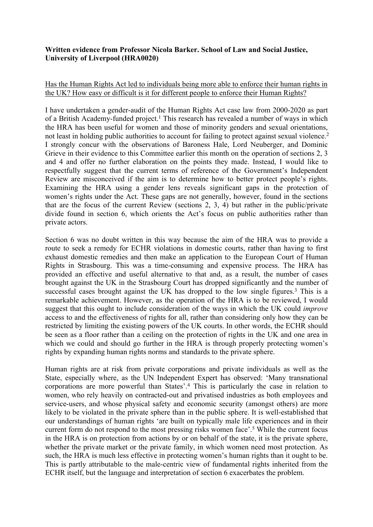## **Written evidence from Professor Nicola Barker. School of Law and Social Justice, University of Liverpool (HRA0020)**

## Has the Human Rights Act led to individuals being more able to enforce their human rights in the UK? How easy or difficult is it for different people to enforce their Human Rights?

I have undertaken a gender-audit of the Human Rights Act case law from 2000-2020 as part of a British Academy-funded project.<sup>1</sup> This research has revealed a number of ways in which the HRA has been useful for women and those of minority genders and sexual orientations, not least in holding public authorities to account for failing to protect against sexual violence.<sup>2</sup> I strongly concur with the observations of Baroness Hale, Lord Neuberger, and Dominic Grieve in their evidence to this Committee earlier this month on the operation of sections 2, 3 and 4 and offer no further elaboration on the points they made. Instead, I would like to respectfully suggest that the current terms of reference of the Government's Independent Review are misconceived if the aim is to determine how to better protect people's rights. Examining the HRA using a gender lens reveals significant gaps in the protection of women's rights under the Act. These gaps are not generally, however, found in the sections that are the focus of the current Review (sections 2, 3, 4) but rather in the public/private divide found in section 6, which orients the Act's focus on public authorities rather than private actors.

Section 6 was no doubt written in this way because the aim of the HRA was to provide a route to seek a remedy for ECHR violations in domestic courts, rather than having to first exhaust domestic remedies and then make an application to the European Court of Human Rights in Strasbourg. This was a time-consuming and expensive process. The HRA has provided an effective and useful alternative to that and, as a result, the number of cases brought against the UK in the Strasbourg Court has dropped significantly and the number of successful cases brought against the UK has dropped to the low single figures.<sup>3</sup> This is a remarkable achievement. However, as the operation of the HRA is to be reviewed, I would suggest that this ought to include consideration of the ways in which the UK could *improve* access to and the effectiveness of rights for all, rather than considering only how they can be restricted by limiting the existing powers of the UK courts. In other words, the ECHR should be seen as a floor rather than a ceiling on the protection of rights in the UK and one area in which we could and should go further in the HRA is through properly protecting women's rights by expanding human rights norms and standards to the private sphere.

Human rights are at risk from private corporations and private individuals as well as the State, especially where, as the UN Independent Expert has observed: 'Many transnational corporations are more powerful than States'.<sup>4</sup> This is particularly the case in relation to women, who rely heavily on contracted-out and privatised industries as both employees and service-users, and whose physical safety and economic security (amongst others) are more likely to be violated in the private sphere than in the public sphere. It is well-established that our understandings of human rights 'are built on typically male life experiences and in their current form do not respond to the most pressing risks women face'.<sup>5</sup> While the current focus in the HRA is on protection from actions by or on behalf of the state, it is the private sphere, whether the private market or the private family, in which women need most protection. As such, the HRA is much less effective in protecting women's human rights than it ought to be. This is partly attributable to the male-centric view of fundamental rights inherited from the ECHR itself, but the language and interpretation of section 6 exacerbates the problem.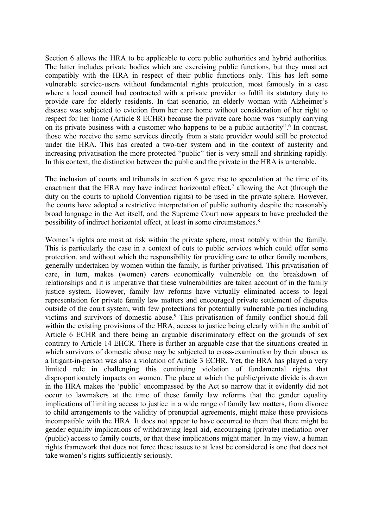Section 6 allows the HRA to be applicable to core public authorities and hybrid authorities. The latter includes private bodies which are exercising public functions, but they must act compatibly with the HRA in respect of their public functions only. This has left some vulnerable service-users without fundamental rights protection, most famously in a case where a local council had contracted with a private provider to fulfil its statutory duty to provide care for elderly residents. In that scenario, an elderly woman with Alzheimer's disease was subjected to eviction from her care home without consideration of her right to respect for her home (Article 8 ECHR) because the private care home was "simply carrying on its private business with a customer who happens to be a public authority".<sup>6</sup> In contrast, those who receive the same services directly from a state provider would still be protected under the HRA. This has created a two-tier system and in the context of austerity and increasing privatisation the more protected "public" tier is very small and shrinking rapidly. In this context, the distinction between the public and the private in the HRA is untenable.

The inclusion of courts and tribunals in section 6 gave rise to speculation at the time of its enactment that the HRA may have indirect horizontal effect,<sup>7</sup> allowing the Act (through the duty on the courts to uphold Convention rights) to be used in the private sphere. However, the courts have adopted a restrictive interpretation of public authority despite the reasonably broad language in the Act itself, and the Supreme Court now appears to have precluded the possibility of indirect horizontal effect, at least in some circumstances.<sup>8</sup>

Women's rights are most at risk within the private sphere, most notably within the family. This is particularly the case in a context of cuts to public services which could offer some protection, and without which the responsibility for providing care to other family members, generally undertaken by women within the family, is further privatised. This privatisation of care, in turn, makes (women) carers economically vulnerable on the breakdown of relationships and it is imperative that these vulnerabilities are taken account of in the family justice system. However, family law reforms have virtually eliminated access to legal representation for private family law matters and encouraged private settlement of disputes outside of the court system, with few protections for potentially vulnerable parties including victims and survivors of domestic abuse.<sup>9</sup> This privatisation of family conflict should fall within the existing provisions of the HRA, access to justice being clearly within the ambit of Article 6 ECHR and there being an arguable discriminatory effect on the grounds of sex contrary to Article 14 EHCR. There is further an arguable case that the situations created in which survivors of domestic abuse may be subjected to cross-examination by their abuser as a litigant-in-person was also a violation of Article 3 ECHR. Yet, the HRA has played a very limited role in challenging this continuing violation of fundamental rights that disproportionately impacts on women. The place at which the public/private divide is drawn in the HRA makes the 'public' encompassed by the Act so narrow that it evidently did not occur to lawmakers at the time of these family law reforms that the gender equality implications of limiting access to justice in a wide range of family law matters, from divorce to child arrangements to the validity of prenuptial agreements, might make these provisions incompatible with the HRA. It does not appear to have occurred to them that there might be gender equality implications of withdrawing legal aid, encouraging (private) mediation over (public) access to family courts, or that these implications might matter. In my view, a human rights framework that does not force these issues to at least be considered is one that does not take women's rights sufficiently seriously.